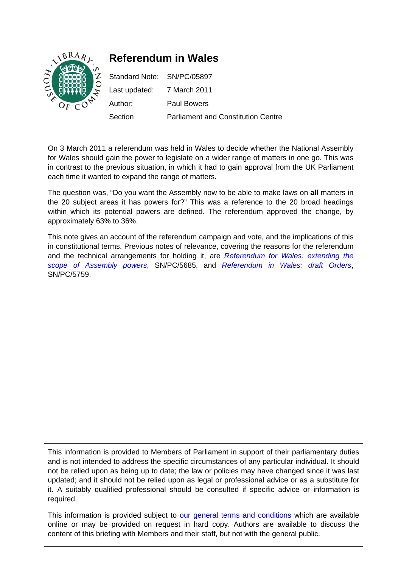

On 3 March 2011 a referendum was held in Wales to decide whether the National Assembly for Wales should gain the power to legislate on a wider range of matters in one go. This was in contrast to the previous situation, in which it had to gain approval from the UK Parliament each time it wanted to expand the range of matters.

The question was, "Do you want the Assembly now to be able to make laws on **all** matters in the 20 subject areas it has powers for?" This was a reference to the 20 broad headings within which its potential powers are defined. The referendum approved the change, by approximately 63% to 36%.

This note gives an account of the referendum campaign and vote, and the implications of this in constitutional terms. Previous notes of relevance, covering the reasons for the referendum and the technical arrangements for holding it, are *[Referendum for Wales: extending the](http://www.parliament.uk/briefingpapers/commons/lib/research/briefings/snpc-05685.pdf)  [scope of Assembly powers](http://www.parliament.uk/briefingpapers/commons/lib/research/briefings/snpc-05685.pdf)*, SN/PC/5685, and *[Referendum in Wales: draft Orders](http://www.parliament.uk/briefingpapers/commons/lib/research/briefings/snpc-05759.pdf)*, SN/PC/5759.

This information is provided to Members of Parliament in support of their parliamentary duties and is not intended to address the specific circumstances of any particular individual. It should not be relied upon as being up to date; the law or policies may have changed since it was last updated; and it should not be relied upon as legal or professional advice or as a substitute for it. A suitably qualified professional should be consulted if specific advice or information is required.

This information is provided subject to [our general terms and conditions](http://www.parliament.uk/site-information/copyright/) which are available online or may be provided on request in hard copy. Authors are available to discuss the content of this briefing with Members and their staff, but not with the general public.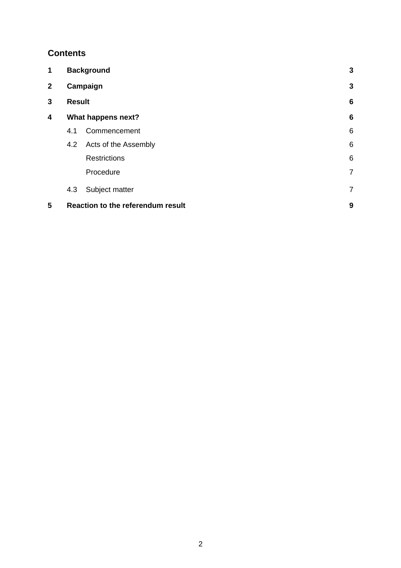# **Contents**

| 1            | <b>Background</b>                        |                      | 3               |
|--------------|------------------------------------------|----------------------|-----------------|
| $\mathbf{2}$ | Campaign                                 |                      | 3               |
| 3            | <b>Result</b>                            |                      | $6\phantom{1}6$ |
| 4            | What happens next?                       |                      | $6\phantom{1}6$ |
|              | 4.1                                      | Commencement         | 6               |
|              | 4.2                                      | Acts of the Assembly | 6               |
|              |                                          | <b>Restrictions</b>  | 6               |
|              |                                          | Procedure            | $\overline{7}$  |
|              | 4.3                                      | Subject matter       | $\overline{7}$  |
| 5            | <b>Reaction to the referendum result</b> |                      | 9               |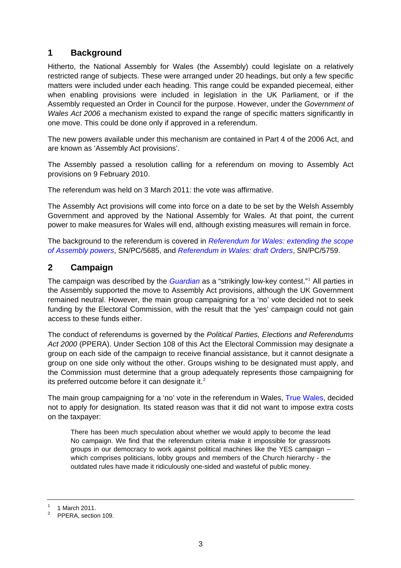# <span id="page-2-0"></span>**1 Background**

Hitherto, the National Assembly for Wales (the Assembly) could legislate on a relatively restricted range of subjects. These were arranged under 20 headings, but only a few specific matters were included under each heading. This range could be expanded piecemeal, either when enabling provisions were included in legislation in the UK Parliament, or if the Assembly requested an Order in Council for the purpose. However, under the *Government of Wales Act 2006* a mechanism existed to expand the range of specific matters significantly in one move. This could be done only if approved in a referendum.

The new powers available under this mechanism are contained in Part 4 of the 2006 Act, and are known as 'Assembly Act provisions'.

The Assembly passed a resolution calling for a referendum on moving to Assembly Act provisions on 9 February 2010.

The referendum was held on 3 March 2011: the vote was affirmative.

The Assembly Act provisions will come into force on a date to be set by the Welsh Assembly Government and approved by the National Assembly for Wales. At that point, the current power to make measures for Wales will end, although existing measures will remain in force.

The background to the referendum is covered in *[Referendum for Wales: extending the scope](http://www.parliament.uk/briefingpapers/commons/lib/research/briefings/snpc-05685.pdf)  [of Assembly powers](http://www.parliament.uk/briefingpapers/commons/lib/research/briefings/snpc-05685.pdf)*, SN/PC/5685, and *[Referendum in Wales: draft Orders](http://www.parliament.uk/briefingpapers/commons/lib/research/briefings/snpc-05759.pdf)*, SN/PC/5759.

# **2 Campaign**

The campaign was described by the *[Guardian](http://www.guardian.co.uk/uk/2011/mar/01/welsh-referendum-fails-to-engage)* as a "strikingly low-key contest."[1](#page-2-1) All parties in the Assembly supported the move to Assembly Act provisions, although the UK Government remained neutral. However, the main group campaigning for a 'no' vote decided not to seek funding by the Electoral Commission, with the result that the 'yes' campaign could not gain access to these funds either.

The conduct of referendums is governed by the *Political Parties, Elections and Referendums Act 2000* (PPERA). Under Section 108 of this Act the Electoral Commission may designate a group on each side of the campaign to receive financial assistance, but it cannot designate a group on one side only without the other. Groups wishing to be designated must apply, and the Commission must determine that a group adequately represents those campaigning for its preferred outcome before it can designate it. $2$ 

The main group campaigning for a 'no' vote in the referendum in Wales, [True Wales,](http://www.truewales.org.uk/en/index.html) decided not to apply for designation. Its stated reason was that it did not want to impose extra costs on the taxpayer:

There has been much speculation about whether we would apply to become the lead No campaign. We find that the referendum criteria make it impossible for grassroots groups in our democracy to work against political machines like the YES campaign – which comprises politicians, lobby groups and members of the Church hierarchy - the outdated rules have made it ridiculously one-sided and wasteful of public money.

<span id="page-2-1"></span><sup>1</sup> 1 March 2011.

<span id="page-2-2"></span><sup>2</sup> PPERA, section 109.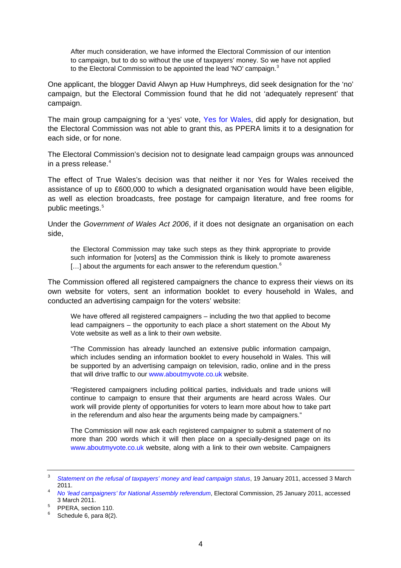After much consideration, we have informed the Electoral Commission of our intention to campaign, but to do so without the use of taxpayers' money. So we have not applied to the Electoral Commission to be appointed the lead 'NO' campaign.<sup>[3](#page-3-0)</sup>

One applicant, the blogger David Alwyn ap Huw Humphreys, did seek designation for the 'no' campaign, but the Electoral Commission found that he did not 'adequately represent' that campaign.

The main group campaigning for a 'yes' vote, [Yes for Wales](http://www.yesforwales.com/site/), did apply for designation, but the Electoral Commission was not able to grant this, as PPERA limits it to a designation for each side, or for none.

The Electoral Commission's decision not to designate lead campaign groups was announced in a press release.[4](#page-3-1)

The effect of True Wales's decision was that neither it nor Yes for Wales received the assistance of up to £600,000 to which a designated organisation would have been eligible, as well as election broadcasts, free postage for campaign literature, and free rooms for public meetings.<sup>[5](#page-3-2)</sup>

Under the *Government of Wales Act 2006*, if it does not designate an organisation on each side,

the Electoral Commission may take such steps as they think appropriate to provide such information for [voters] as the Commission think is likely to promote awareness  $[...]$  about the arguments for each answer to the referendum question. $^6$  $^6$ 

The Commission offered all registered campaigners the chance to express their views on its own website for voters, sent an information booklet to every household in Wales, and conducted an advertising campaign for the voters' website:

We have offered all registered campaigners – including the two that applied to become lead campaigners – the opportunity to each place a short statement on the About My Vote website as well as a link to their own website.

"The Commission has already launched an extensive public information campaign, which includes sending an information booklet to every household in Wales. This will be supported by an advertising campaign on television, radio, online and in the press that will drive traffic to our [www.aboutmyvote.co.uk](http://www.aboutmyvote.co.uk/) website.

"Registered campaigners including political parties, individuals and trade unions will continue to campaign to ensure that their arguments are heard across Wales. Our work will provide plenty of opportunities for voters to learn more about how to take part in the referendum and also hear the arguments being made by campaigners."

The Commission will now ask each registered campaigner to submit a statement of no more than 200 words which it will then place on a specially-designed page on its [www.aboutmyvote.co.uk](http://www.aboutmyvote.co.uk/) website, along with a link to their own website. Campaigners

<span id="page-3-0"></span><sup>3</sup> *[Statement on the refusal of taxpayers' money and lead campaign status](http://www.truewales.org.uk/en/news.html)*, 19 January 2011, accessed 3 March 2011. 4 *[No 'lead campaigners' for National Assembly referendum](http://www.electoralcommission.org.uk/news-and-media/news-releases/electoral-commission-media-centre/news-releases-referendums/no-lead-campaigners-for-national-assembly-referendum)*, Electoral Commission, 25 January 2011, accessed

<span id="page-3-1"></span> $3$  March  $2011$ .

<span id="page-3-2"></span>PPERA, section 110.

<span id="page-3-3"></span> $6$  Schedule 6, para 8(2).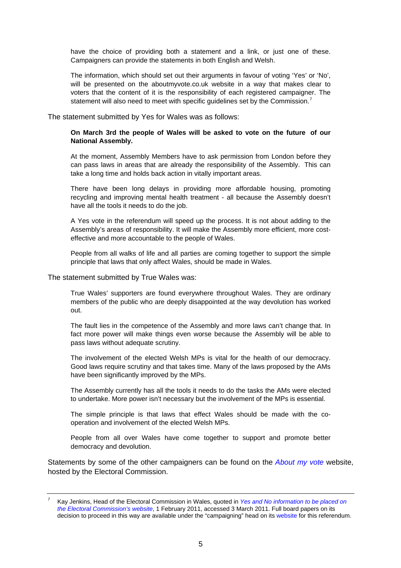have the choice of providing both a statement and a link, or just one of these. Campaigners can provide the statements in both English and Welsh.

The information, which should set out their arguments in favour of voting 'Yes' or 'No', will be presented on the aboutmyvote.co.uk website in a way that makes clear to voters that the content of it is the responsibility of each registered campaigner. The statement will also need to meet with specific guidelines set by the Commission.<sup>[7](#page-4-0)</sup>

The statement submitted by Yes for Wales was as follows:

#### **On March 3rd the people of Wales will be asked to vote on the future of our National Assembly.**

At the moment, Assembly Members have to ask permission from London before they can pass laws in areas that are already the responsibility of the Assembly. This can take a long time and holds back action in vitally important areas.

There have been long delays in providing more affordable housing, promoting recycling and improving mental health treatment - all because the Assembly doesn't have all the tools it needs to do the job.

A Yes vote in the referendum will speed up the process. It is not about adding to the Assembly's areas of responsibility. It will make the Assembly more efficient, more costeffective and more accountable to the people of Wales.

People from all walks of life and all parties are coming together to support the simple principle that laws that only affect Wales, should be made in Wales.

The statement submitted by True Wales was:

True Wales' supporters are found everywhere throughout Wales. They are ordinary members of the public who are deeply disappointed at the way devolution has worked out.

The fault lies in the competence of the Assembly and more laws can't change that. In fact more power will make things even worse because the Assembly will be able to pass laws without adequate scrutiny.

The involvement of the elected Welsh MPs is vital for the health of our democracy. Good laws require scrutiny and that takes time. Many of the laws proposed by the AMs have been significantly improved by the MPs.

The Assembly currently has all the tools it needs to do the tasks the AMs were elected to undertake. More power isn't necessary but the involvement of the MPs is essential.

The simple principle is that laws that effect Wales should be made with the cooperation and involvement of the elected Welsh MPs.

People from all over Wales have come together to support and promote better democracy and devolution.

Statements by some of the other campaigners can be found on the *[About my vote](http://www.aboutmyvote.co.uk/wales_referendum/information_from_campaigners.aspx)* website, hosted by the Electoral Commission.

<span id="page-4-0"></span><sup>7</sup> Kay Jenkins, Head of the Electoral Commission in Wales, quoted in *[Yes and No information to be placed on](http://www.electoralcommission.org.uk/news-and-media/news-releases/electoral-commission-media-centre/news-releases-referendums/yes-and-no-information-to-be-placed-on-the-electoral-commissions-website)  [the Electoral Commission's website](http://www.electoralcommission.org.uk/news-and-media/news-releases/electoral-commission-media-centre/news-releases-referendums/yes-and-no-information-to-be-placed-on-the-electoral-commissions-website)*, 1 February 2011, accessed 3 March 2011. Full board papers on its decision to proceed in this way are available under the "campaigning" head on its [website](http://www.electoralcommission.org.uk/elections/upcoming-elections-and-referendums/wales/referendum#Campaigning) for this referendum.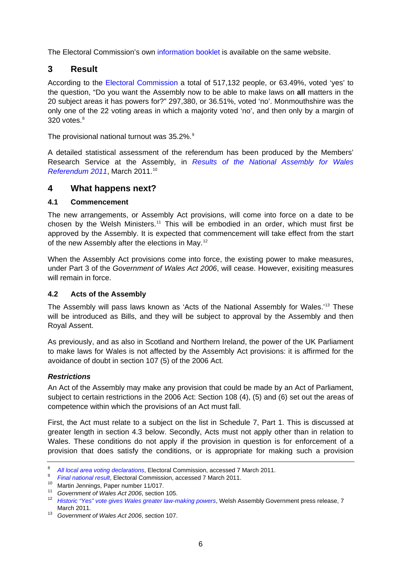<span id="page-5-0"></span>The Electoral Commission's own [information booklet](http://www.aboutmyvote.co.uk/PDF/Wales-Referendum-Booklet-English-Final.pdf) is available on the same website.

### **3 Result**

According to the [Electoral Commission](http://referendumresults.aboutmyvote.co.uk/en/default.aspx) a total of 517,132 people, or 63.49%, voted 'yes' to the question, "Do you want the Assembly now to be able to make laws on **all** matters in the 20 subject areas it has powers for?" 297,380, or 36.51%, voted 'no'. Monmouthshire was the only one of the 22 voting areas in which a majority voted 'no', and then only by a margin of 320 votes. $8$ 

The provisional national turnout was 35.2%.<sup>[9](#page-5-2)</sup>

A detailed statistical assessment of the referendum has been produced by the Members' Research Service at the Assembly, in *[Results of the National Assembly for Wales](http://www.assemblywales.org/11-017.pdf)  [Referendum 2011](http://www.assemblywales.org/11-017.pdf)*, March 2011.[10](#page-5-3)

### **4 What happens next?**

#### **4.1 Commencement**

The new arrangements, or Assembly Act provisions, will come into force on a date to be chosen by the Welsh Ministers.<sup>[11](#page-5-4)</sup> This will be embodied in an order, which must first be approved by the Assembly. It is expected that commencement will take effect from the start of the new Assembly after the elections in May.<sup>[12](#page-5-5)</sup>

When the Assembly Act provisions come into force, the existing power to make measures, under Part 3 of the *Government of Wales Act 2006*, will cease. However, exisiting measures will remain in force.

#### **4.2 Acts of the Assembly**

The Assembly will pass laws known as 'Acts of the National Assembly for Wales.'[13](#page-5-6) These will be introduced as Bills, and they will be subject to approval by the Assembly and then Royal Assent.

As previously, and as also in Scotland and Northern Ireland, the power of the UK Parliament to make laws for Wales is not affected by the Assembly Act provisions: it is affirmed for the avoidance of doubt in section 107 (5) of the 2006 Act.

#### *Restrictions*

An Act of the Assembly may make any provision that could be made by an Act of Parliament, subject to certain restrictions in the 2006 Act: Section 108 (4), (5) and (6) set out the areas of competence within which the provisions of an Act must fall.

First, the Act must relate to a subject on the list in Schedule 7, Part 1. This is discussed at greater length in section 4.3 below. Secondly, Acts must not apply other than in relation to Wales. These conditions do not apply if the provision in question is for enforcement of a provision that does satisfy the conditions, or is appropriate for making such a provision

<span id="page-5-1"></span><sup>8</sup> <sup>8</sup> All local area voting declarations, Electoral Commission, accessed 7 March 2011.<br><sup>9</sup> Final national result, Electoral Commission, accessed 7 March 2011.

<span id="page-5-3"></span><span id="page-5-2"></span>*Final national results*<br>
<sup>10</sup> Martin Jennings, Paper number 11/017.<br>
<sup>11</sup> Government of Wales Act 2006, section 105.

<span id="page-5-5"></span><span id="page-5-4"></span><sup>&</sup>lt;sup>12</sup> [Historic "Yes" vote gives Wales greater law-making powers](http://www.wired-gov.net/wg/wg-news-1.nsf/lfi/DNWA-8EQDQE), Welsh Assembly Government press release, 7 March 2011. 13 *Government of Wales Act 2006*, section 107.

<span id="page-5-6"></span>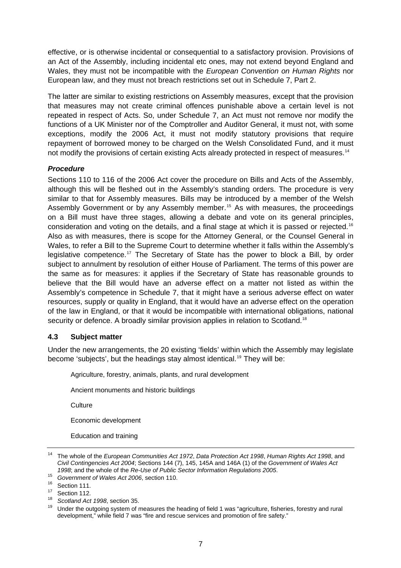<span id="page-6-0"></span>effective, or is otherwise incidental or consequential to a satisfactory provision. Provisions of an Act of the Assembly, including incidental etc ones, may not extend beyond England and Wales, they must not be incompatible with the *European Convention on Human Rights* nor European law, and they must not breach restrictions set out in Schedule 7, Part 2.

The latter are similar to existing restrictions on Assembly measures, except that the provision that measures may not create criminal offences punishable above a certain level is not repeated in respect of Acts. So, under Schedule 7, an Act must not remove nor modify the functions of a UK Minister nor of the Comptroller and Auditor General, it must not, with some exceptions, modify the 2006 Act, it must not modify statutory provisions that require repayment of borrowed money to be charged on the Welsh Consolidated Fund, and it must not modify the provisions of certain existing Acts already protected in respect of measures.<sup>[14](#page-6-1)</sup>

### *Procedure*

Sections 110 to 116 of the 2006 Act cover the procedure on Bills and Acts of the Assembly, although this will be fleshed out in the Assembly's standing orders. The procedure is very similar to that for Assembly measures. Bills may be introduced by a member of the Welsh Assembly Government or by any Assembly member.<sup>[15](#page-6-2)</sup> As with measures, the proceedings on a Bill must have three stages, allowing a debate and vote on its general principles, consideration and voting on the details, and a final stage at which it is passed or rejected.[16](#page-6-3) Also as with measures, there is scope for the Attorney General, or the Counsel General in Wales, to refer a Bill to the Supreme Court to determine whether it falls within the Assembly's legislative competence.<sup>[17](#page-6-4)</sup> The Secretary of State has the power to block a Bill, by order subject to annulment by resolution of either House of Parliament. The terms of this power are the same as for measures: it applies if the Secretary of State has reasonable grounds to believe that the Bill would have an adverse effect on a matter not listed as within the Assembly's competence in Schedule 7, that it might have a serious adverse effect on water resources, supply or quality in England, that it would have an adverse effect on the operation of the law in England, or that it would be incompatible with international obligations, national security or defence. A broadly similar provision applies in relation to Scotland.<sup>[18](#page-6-5)</sup>

#### **4.3 Subject matter**

Under the new arrangements, the 20 existing 'fields' within which the Assembly may legislate become 'subjects', but the headings stay almost identical.<sup>[19](#page-6-6)</sup> They will be:

Agriculture, forestry, animals, plants, and rural development

Ancient monuments and historic buildings

**Culture** 

Economic development

Education and training

<span id="page-6-1"></span><sup>14</sup> The whole of the *European Communities Act 1972*, *Data Protection Act 1998*, *Human Rights Act 1998*, and *Civil Contingencies Act 2004*; Sections 144 (7), 145, 145A and 146A (1) of the *Government of Wales Act 1998*; and the whole of the *Re-Use of Public Sector Information Regulations 2005*.<br><sup>15</sup> *Government of Wales Act 2006*, section 110.<br><sup>16</sup> Section 111.<br><sup>17</sup> *Costing 110*.

<span id="page-6-2"></span>

<span id="page-6-4"></span><span id="page-6-3"></span> $^{17}$  Section 112.

<span id="page-6-6"></span><span id="page-6-5"></span><sup>&</sup>lt;sup>18</sup> Scotland Act 1998, section 35.<br><sup>19</sup> Under the outgoing system of measures the heading of field 1 was "agriculture, fisheries, forestry and rural development," while field 7 was "fire and rescue services and promotion of fire safety."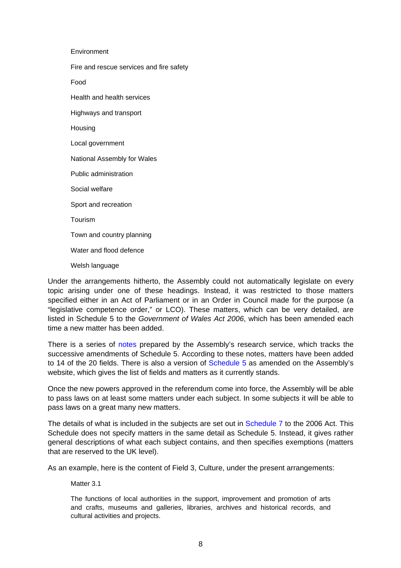Environment Fire and rescue services and fire safety Food Health and health services Highways and transport Housing Local government National Assembly for Wales Public administration Social welfare Sport and recreation Tourism Town and country planning Water and flood defence Welsh language

Under the arrangements hitherto, the Assembly could not automatically legislate on every topic arising under one of these headings. Instead, it was restricted to those matters specified either in an Act of Parliament or in an Order in Council made for the purpose (a "legislative competence order," or LCO). These matters, which can be very detailed, are listed in Schedule 5 to the *Government of Wales Act 2006*, which has been amended each time a new matter has been added.

There is a series of [notes](http://www.assemblywales.org/bus-home/bus-legislation/bus-legislation-guidance/bus-legislation-guidance-documents/legislation_fields.htm) prepared by the Assembly's research service, which tracks the successive amendments of Schedule 5. According to these notes, matters have been added to 14 of the 20 fields. There is also a version of [Schedule 5](http://www.assemblywales.org/bus-home/bus-legislation/bus-legislation-guidance/bus-legislation-guidance-documents/legislation_fields/schedule-5.htm) as amended on the Assembly's website, which gives the list of fields and matters as it currently stands.

Once the new powers approved in the referendum come into force, the Assembly will be able to pass laws on at least some matters under each subject. In some subjects it will be able to pass laws on a great many new matters.

The details of what is included in the subjects are set out in [Schedule 7](http://www.legislation.gov.uk/ukpga/2006/32/schedule/7) to the 2006 Act. This Schedule does not specify matters in the same detail as Schedule 5. Instead, it gives rather general descriptions of what each subject contains, and then specifies exemptions (matters that are reserved to the UK level).

As an example, here is the content of Field 3, Culture, under the present arrangements:

Matter 3.1

The functions of local authorities in the support, improvement and promotion of arts and crafts, museums and galleries, libraries, archives and historical records, and cultural activities and projects.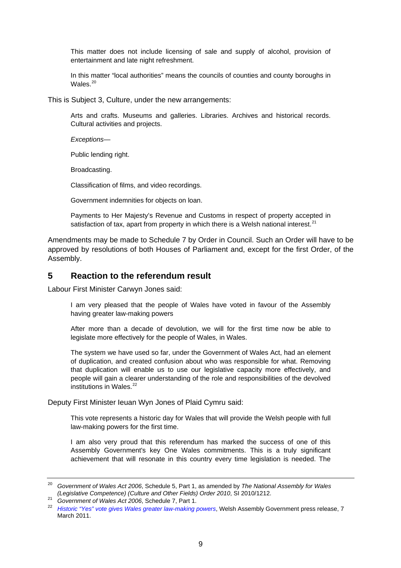<span id="page-8-0"></span>This matter does not include licensing of sale and supply of alcohol, provision of entertainment and late night refreshment.

In this matter "local authorities" means the councils of counties and county boroughs in Wales $20$ 

This is Subject 3, Culture, under the new arrangements:

Arts and crafts. Museums and galleries. Libraries. Archives and historical records. Cultural activities and projects.

*Exceptions—* 

Public lending right.

Broadcasting.

Classification of films, and video recordings.

Government indemnities for objects on loan.

Payments to Her Majesty's Revenue and Customs in respect of property accepted in satisfaction of tax, apart from property in which there is a Welsh national interest. $21$ 

Amendments may be made to Schedule 7 by Order in Council. Such an Order will have to be approved by resolutions of both Houses of Parliament and, except for the first Order, of the Assembly.

### **5 Reaction to the referendum result**

Labour First Minister Carwyn Jones said:

I am very pleased that the people of Wales have voted in favour of the Assembly having greater law-making powers

After more than a decade of devolution, we will for the first time now be able to legislate more effectively for the people of Wales, in Wales.

The system we have used so far, under the Government of Wales Act, had an element of duplication, and created confusion about who was responsible for what. Removing that duplication will enable us to use our legislative capacity more effectively, and people will gain a clearer understanding of the role and responsibilities of the devolved institutions in Wales. $^{22}$  $^{22}$  $^{22}$ 

Deputy First Minister Ieuan Wyn Jones of Plaid Cymru said:

This vote represents a historic day for Wales that will provide the Welsh people with full law-making powers for the first time.

I am also very proud that this referendum has marked the success of one of this Assembly Government's key One Wales commitments. This is a truly significant achievement that will resonate in this country every time legislation is needed. The

<span id="page-8-1"></span><sup>20</sup> *Government of Wales Act 2006*, Schedule 5, Part 1, as amended by *The National Assembly for Wales* 

<span id="page-8-3"></span>

<span id="page-8-2"></span><sup>(</sup>Legislative Competence) (Culture and Other Fields) Order 2010, SI 2010/1212.<br><sup>21</sup> Government of Wales Act 2006, Schedule 7, Part 1.<br><sup>22</sup> Historic "Yes" vote gives Wales greater law-making powers, Welsh Assembly Government March 2011.